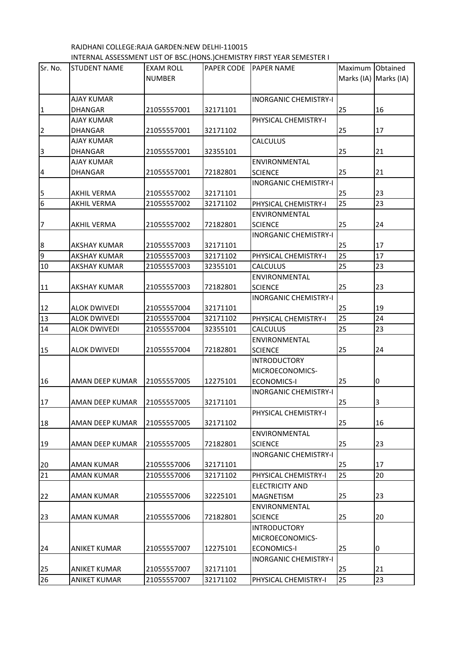| Sr. No.        | <b>STUDENT NAME</b> | <b>EXAM ROLL</b> | - - - <sub>1</sub> - - . <sub>1</sub> - - | PAPER CODE   PAPER NAME      | Maximum Obtained |            |
|----------------|---------------------|------------------|-------------------------------------------|------------------------------|------------------|------------|
|                |                     | <b>NUMBER</b>    |                                           |                              | Marks (IA)       | Marks (IA) |
|                |                     |                  |                                           |                              |                  |            |
|                | <b>AJAY KUMAR</b>   |                  |                                           | <b>INORGANIC CHEMISTRY-I</b> |                  |            |
| 1              | <b>DHANGAR</b>      | 21055557001      | 32171101                                  |                              | 25               | 16         |
|                | <b>AJAY KUMAR</b>   |                  |                                           | PHYSICAL CHEMISTRY-I         |                  |            |
| $\overline{2}$ | <b>DHANGAR</b>      | 21055557001      | 32171102                                  |                              | 25               | 17         |
|                | <b>AJAY KUMAR</b>   |                  |                                           | CALCULUS                     |                  |            |
| 3              | <b>DHANGAR</b>      | 21055557001      | 32355101                                  |                              | 25               | 21         |
|                | <b>AJAY KUMAR</b>   |                  |                                           | ENVIRONMENTAL                |                  |            |
| 4              | <b>DHANGAR</b>      | 21055557001      | 72182801                                  | <b>SCIENCE</b>               | 25               | 21         |
|                |                     |                  |                                           | <b>INORGANIC CHEMISTRY-I</b> |                  |            |
| 5              | <b>AKHIL VERMA</b>  | 21055557002      | 32171101                                  |                              | 25               | 23         |
| 6              | AKHIL VERMA         | 21055557002      | 32171102                                  | PHYSICAL CHEMISTRY-I         | 25               | 23         |
|                |                     |                  |                                           | ENVIRONMENTAL                |                  |            |
| $\overline{7}$ | <b>AKHIL VERMA</b>  | 21055557002      | 72182801                                  | <b>SCIENCE</b>               | 25               | 24         |
|                |                     |                  |                                           | <b>INORGANIC CHEMISTRY-I</b> |                  |            |
| $8\phantom{.}$ | <b>AKSHAY KUMAR</b> | 21055557003      | 32171101                                  |                              | 25               | 17         |
| 9              | <b>AKSHAY KUMAR</b> | 21055557003      | 32171102                                  | PHYSICAL CHEMISTRY-I         | 25               | 17         |
| 10             | AKSHAY KUMAR        | 21055557003      | 32355101                                  | <b>CALCULUS</b>              | 25               | 23         |
|                |                     |                  |                                           | ENVIRONMENTAL                |                  |            |
| 11             | AKSHAY KUMAR        | 21055557003      | 72182801                                  | <b>SCIENCE</b>               | 25               | 23         |
|                |                     |                  |                                           | <b>INORGANIC CHEMISTRY-I</b> |                  |            |
| 12             | <b>ALOK DWIVEDI</b> | 21055557004      | 32171101                                  |                              | 25               | 19         |
| 13             | <b>ALOK DWIVEDI</b> | 21055557004      | 32171102                                  | PHYSICAL CHEMISTRY-I         | 25               | 24         |
| 14             | <b>ALOK DWIVEDI</b> | 21055557004      | 32355101                                  | <b>CALCULUS</b>              | 25               | 23         |
|                |                     |                  |                                           | ENVIRONMENTAL                |                  |            |
| 15             | <b>ALOK DWIVEDI</b> | 21055557004      | 72182801                                  | <b>SCIENCE</b>               | 25               | 24         |
|                |                     |                  |                                           | <b>INTRODUCTORY</b>          |                  |            |
|                |                     |                  |                                           | MICROECONOMICS-              |                  |            |
| 16             | AMAN DEEP KUMAR     | 21055557005      | 12275101                                  | <b>ECONOMICS-I</b>           | 25               | 0          |
|                |                     |                  |                                           | <b>INORGANIC CHEMISTRY-I</b> |                  |            |
| 17             | AMAN DEEP KUMAR     | 21055557005      | 32171101                                  |                              | 25               | 3          |
|                |                     |                  |                                           | PHYSICAL CHEMISTRY-I         |                  |            |
| 18             | AMAN DEEP KUMAR     | 21055557005      | 32171102                                  |                              | 25               | 16         |
|                |                     |                  |                                           | ENVIRONMENTAL                |                  |            |
| 19             | AMAN DEEP KUMAR     | 21055557005      | 72182801                                  | <b>SCIENCE</b>               | 25               | 23         |
|                |                     |                  |                                           | <b>INORGANIC CHEMISTRY-I</b> |                  |            |
| 20             | <b>AMAN KUMAR</b>   | 21055557006      | 32171101                                  |                              | 25               | 17         |
| 21             | AMAN KUMAR          | 21055557006      | 32171102                                  | PHYSICAL CHEMISTRY-I         | 25               | 20         |
|                |                     |                  |                                           | <b>ELECTRICITY AND</b>       |                  |            |
| 22             | AMAN KUMAR          | 21055557006      | 32225101                                  | <b>MAGNETISM</b>             | 25               | 23         |
|                |                     |                  |                                           | ENVIRONMENTAL                |                  |            |
| 23             | AMAN KUMAR          | 21055557006      | 72182801                                  | <b>SCIENCE</b>               | 25               | 20         |
|                |                     |                  |                                           | <b>INTRODUCTORY</b>          |                  |            |
|                |                     |                  |                                           | MICROECONOMICS-              |                  |            |
| 24             | ANIKET KUMAR        | 21055557007      | 12275101                                  | <b>ECONOMICS-I</b>           | 25               | 0          |
|                |                     |                  |                                           | <b>INORGANIC CHEMISTRY-I</b> |                  |            |
| 25             | <b>ANIKET KUMAR</b> | 21055557007      | 32171101                                  |                              | 25               | 21         |
| 26             | ANIKET KUMAR        | 21055557007      | 32171102                                  | PHYSICAL CHEMISTRY-I         | 25               | 23         |

RAJDHANI COLLEGE:RAJA GARDEN:NEW DELHI-110015 INTERNAL ASSESSMENT LIST OF BSC.(HONS.)CHEMISTRY FIRST YEAR SEMESTER I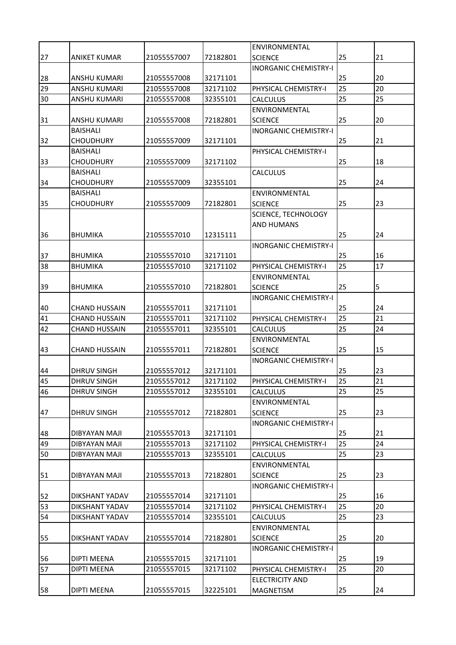|    |                      |             |          | ENVIRONMENTAL                |    |    |
|----|----------------------|-------------|----------|------------------------------|----|----|
| 27 | ANIKET KUMAR         | 21055557007 | 72182801 | <b>SCIENCE</b>               | 25 | 21 |
|    |                      |             |          | <b>INORGANIC CHEMISTRY-I</b> |    |    |
| 28 | ANSHU KUMARI         | 21055557008 | 32171101 |                              | 25 | 20 |
| 29 | <b>ANSHU KUMARI</b>  | 21055557008 | 32171102 | PHYSICAL CHEMISTRY-I         | 25 | 20 |
| 30 | <b>ANSHU KUMARI</b>  | 21055557008 | 32355101 | <b>CALCULUS</b>              | 25 | 25 |
|    |                      |             |          | ENVIRONMENTAL                |    |    |
| 31 | ANSHU KUMARI         | 21055557008 | 72182801 | <b>SCIENCE</b>               | 25 | 20 |
|    | <b>BAISHALI</b>      |             |          | <b>INORGANIC CHEMISTRY-I</b> |    |    |
| 32 | <b>CHOUDHURY</b>     | 21055557009 | 32171101 |                              | 25 | 21 |
|    | <b>BAISHALI</b>      |             |          | PHYSICAL CHEMISTRY-I         |    |    |
| 33 | <b>CHOUDHURY</b>     | 21055557009 | 32171102 |                              | 25 | 18 |
|    | <b>BAISHALI</b>      |             |          | <b>CALCULUS</b>              |    |    |
| 34 | <b>CHOUDHURY</b>     | 21055557009 | 32355101 |                              | 25 | 24 |
|    | <b>BAISHALI</b>      |             |          | ENVIRONMENTAL                |    |    |
| 35 | <b>CHOUDHURY</b>     | 21055557009 | 72182801 | <b>SCIENCE</b>               | 25 | 23 |
|    |                      |             |          | <b>SCIENCE, TECHNOLOGY</b>   |    |    |
|    |                      |             |          | <b>AND HUMANS</b>            |    |    |
| 36 | <b>BHUMIKA</b>       | 21055557010 | 12315111 |                              | 25 | 24 |
|    |                      |             |          | <b>INORGANIC CHEMISTRY-I</b> |    |    |
| 37 | <b>BHUMIKA</b>       | 21055557010 | 32171101 |                              | 25 | 16 |
| 38 | <b>BHUMIKA</b>       | 21055557010 | 32171102 | PHYSICAL CHEMISTRY-I         | 25 | 17 |
|    |                      |             |          | ENVIRONMENTAL                |    |    |
| 39 | <b>BHUMIKA</b>       | 21055557010 | 72182801 | <b>SCIENCE</b>               | 25 | 5  |
|    |                      |             |          | <b>INORGANIC CHEMISTRY-I</b> |    |    |
| 40 | <b>CHAND HUSSAIN</b> | 21055557011 | 32171101 |                              | 25 | 24 |
| 41 | <b>CHAND HUSSAIN</b> | 21055557011 | 32171102 | PHYSICAL CHEMISTRY-I         | 25 | 21 |
| 42 | <b>CHAND HUSSAIN</b> | 21055557011 | 32355101 | <b>CALCULUS</b>              | 25 | 24 |
|    |                      |             |          | ENVIRONMENTAL                |    |    |
| 43 | <b>CHAND HUSSAIN</b> | 21055557011 | 72182801 | <b>SCIENCE</b>               | 25 | 15 |
|    |                      |             |          | <b>INORGANIC CHEMISTRY-I</b> |    |    |
| 44 | <b>DHRUV SINGH</b>   | 21055557012 | 32171101 |                              | 25 | 23 |
| 45 | <b>DHRUV SINGH</b>   | 21055557012 | 32171102 | PHYSICAL CHEMISTRY-I         | 25 | 21 |
| 46 | <b>DHRUV SINGH</b>   | 21055557012 | 32355101 | <b>CALCULUS</b>              | 25 | 25 |
|    |                      |             |          | ENVIRONMENTAL                |    |    |
| 47 | <b>DHRUV SINGH</b>   | 21055557012 | 72182801 | <b>SCIENCE</b>               | 25 | 23 |
|    |                      |             |          | <b>INORGANIC CHEMISTRY-I</b> |    |    |
| 48 | DIBYAYAN MAJI        | 21055557013 | 32171101 |                              | 25 | 21 |
| 49 | DIBYAYAN MAJI        | 21055557013 | 32171102 | PHYSICAL CHEMISTRY-I         | 25 | 24 |
| 50 | DIBYAYAN MAJI        | 21055557013 | 32355101 | <b>CALCULUS</b>              | 25 | 23 |
|    |                      |             |          | ENVIRONMENTAL                |    |    |
| 51 | DIBYAYAN MAJI        | 21055557013 | 72182801 | <b>SCIENCE</b>               | 25 | 23 |
|    |                      |             |          | <b>INORGANIC CHEMISTRY-I</b> |    |    |
| 52 | DIKSHANT YADAV       | 21055557014 | 32171101 |                              | 25 | 16 |
| 53 | DIKSHANT YADAV       | 21055557014 | 32171102 | PHYSICAL CHEMISTRY-I         | 25 | 20 |
| 54 | DIKSHANT YADAV       | 21055557014 | 32355101 | <b>CALCULUS</b>              | 25 | 23 |
|    |                      |             |          | ENVIRONMENTAL                |    |    |
| 55 | DIKSHANT YADAV       | 21055557014 | 72182801 | <b>SCIENCE</b>               | 25 | 20 |
|    |                      |             |          | <b>INORGANIC CHEMISTRY-I</b> |    |    |
| 56 | <b>DIPTI MEENA</b>   | 21055557015 | 32171101 |                              | 25 | 19 |
| 57 | <b>DIPTI MEENA</b>   | 21055557015 | 32171102 | PHYSICAL CHEMISTRY-I         | 25 | 20 |
|    |                      |             |          | <b>ELECTRICITY AND</b>       |    |    |
| 58 | DIPTI MEENA          | 21055557015 | 32225101 | <b>MAGNETISM</b>             | 25 | 24 |
|    |                      |             |          |                              |    |    |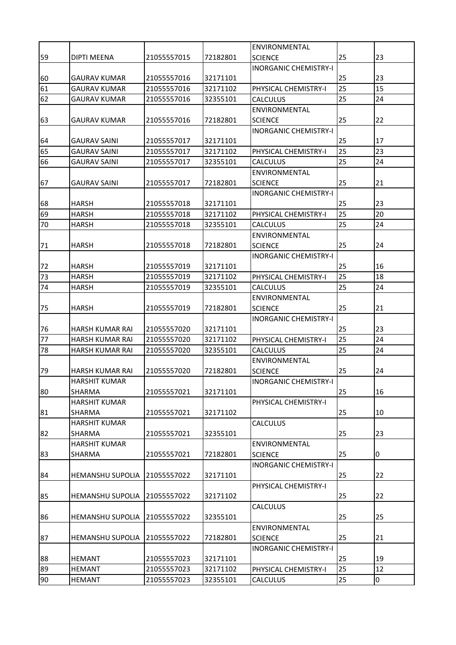|    |                                                |             |                      | ENVIRONMENTAL                   |    |          |
|----|------------------------------------------------|-------------|----------------------|---------------------------------|----|----------|
| 59 | <b>DIPTI MEENA</b>                             | 21055557015 | 72182801             | <b>SCIENCE</b>                  | 25 | 23       |
|    |                                                |             |                      | <b>INORGANIC CHEMISTRY-I</b>    |    |          |
| 60 | <b>GAURAV KUMAR</b>                            | 21055557016 | 32171101             |                                 | 25 | 23       |
| 61 | <b>GAURAV KUMAR</b>                            | 21055557016 | 32171102             | PHYSICAL CHEMISTRY-I            | 25 | 15       |
| 62 | <b>GAURAV KUMAR</b>                            | 21055557016 | 32355101             | <b>CALCULUS</b>                 | 25 | 24       |
|    |                                                |             |                      | ENVIRONMENTAL                   |    |          |
| 63 | <b>GAURAV KUMAR</b>                            | 21055557016 | 72182801             | <b>SCIENCE</b>                  | 25 | 22       |
|    |                                                |             |                      | <b>INORGANIC CHEMISTRY-I</b>    |    |          |
| 64 | <b>GAURAV SAINI</b>                            | 21055557017 | 32171101             |                                 | 25 | 17       |
| 65 | <b>GAURAV SAINI</b>                            | 21055557017 | 32171102             | PHYSICAL CHEMISTRY-I            | 25 | 23       |
| 66 | <b>GAURAV SAINI</b>                            | 21055557017 | 32355101             | <b>CALCULUS</b>                 | 25 | 24       |
|    |                                                |             |                      | ENVIRONMENTAL                   |    |          |
| 67 | <b>GAURAV SAINI</b>                            | 21055557017 | 72182801             | <b>SCIENCE</b>                  | 25 | 21       |
|    |                                                |             |                      | <b>INORGANIC CHEMISTRY-I</b>    |    |          |
| 68 | <b>HARSH</b>                                   | 21055557018 | 32171101             |                                 | 25 | 23       |
| 69 | <b>HARSH</b>                                   | 21055557018 | 32171102             | PHYSICAL CHEMISTRY-I            | 25 | 20       |
| 70 | <b>HARSH</b>                                   | 21055557018 | 32355101             | <b>CALCULUS</b>                 | 25 | 24       |
|    |                                                |             |                      | ENVIRONMENTAL                   |    |          |
| 71 | <b>HARSH</b>                                   | 21055557018 | 72182801             | <b>SCIENCE</b>                  | 25 | 24       |
|    |                                                |             |                      | <b>INORGANIC CHEMISTRY-I</b>    |    |          |
| 72 | <b>HARSH</b>                                   | 21055557019 | 32171101             |                                 | 25 | 16       |
| 73 | <b>HARSH</b>                                   | 21055557019 | 32171102             | PHYSICAL CHEMISTRY-I            | 25 | 18       |
| 74 | <b>HARSH</b>                                   | 21055557019 | 32355101             | <b>CALCULUS</b>                 | 25 | 24       |
|    |                                                |             |                      | ENVIRONMENTAL                   |    |          |
| 75 | <b>HARSH</b>                                   | 21055557019 | 72182801             | <b>SCIENCE</b>                  | 25 | 21       |
|    |                                                |             |                      | <b>INORGANIC CHEMISTRY-I</b>    |    |          |
| 76 | <b>HARSH KUMAR RAI</b>                         | 21055557020 | 32171101             |                                 | 25 | 23<br>24 |
| 77 | <b>HARSH KUMAR RAI</b>                         | 21055557020 | 32171102<br>32355101 | PHYSICAL CHEMISTRY-I            | 25 |          |
| 78 | <b>HARSH KUMAR RAI</b>                         | 21055557020 |                      | <b>CALCULUS</b>                 | 25 | 24       |
| 79 |                                                | 21055557020 |                      | ENVIRONMENTAL<br><b>SCIENCE</b> | 25 |          |
|    | <b>HARSH KUMAR RAI</b><br><b>HARSHIT KUMAR</b> |             | 72182801             |                                 |    | 24       |
| 80 | SHARMA                                         | 21055557021 | 32171101             | <b>INORGANIC CHEMISTRY-I</b>    | 25 | 16       |
|    | <b>HARSHIT KUMAR</b>                           |             |                      | PHYSICAL CHEMISTRY-I            |    |          |
| 81 | <b>SHARMA</b>                                  | 21055557021 | 32171102             |                                 | 25 | 10       |
|    | <b>HARSHIT KUMAR</b>                           |             |                      | <b>CALCULUS</b>                 |    |          |
| 82 | <b>SHARMA</b>                                  | 21055557021 | 32355101             |                                 | 25 | 23       |
|    | <b>HARSHIT KUMAR</b>                           |             |                      | ENVIRONMENTAL                   |    |          |
| 83 | SHARMA                                         | 21055557021 | 72182801             | <b>SCIENCE</b>                  | 25 | 0        |
|    |                                                |             |                      | <b>INORGANIC CHEMISTRY-I</b>    |    |          |
| 84 | <b>HEMANSHU SUPOLIA</b>                        | 21055557022 | 32171101             |                                 | 25 | 22       |
|    |                                                |             |                      | PHYSICAL CHEMISTRY-I            |    |          |
| 85 | <b>HEMANSHU SUPOLIA</b>                        | 21055557022 | 32171102             |                                 | 25 | 22       |
|    |                                                |             |                      | <b>CALCULUS</b>                 |    |          |
| 86 | <b>HEMANSHU SUPOLIA</b>                        | 21055557022 | 32355101             |                                 | 25 | 25       |
|    |                                                |             |                      | ENVIRONMENTAL                   |    |          |
| 87 | <b>HEMANSHU SUPOLIA</b>                        | 21055557022 | 72182801             | <b>SCIENCE</b>                  | 25 | 21       |
|    |                                                |             |                      | <b>INORGANIC CHEMISTRY-I</b>    |    |          |
| 88 | <b>HEMANT</b>                                  | 21055557023 | 32171101             |                                 | 25 | 19       |
| 89 | <b>HEMANT</b>                                  | 21055557023 | 32171102             | PHYSICAL CHEMISTRY-I            | 25 | 12       |
| 90 | <b>HEMANT</b>                                  | 21055557023 | 32355101             | CALCULUS                        | 25 | 0        |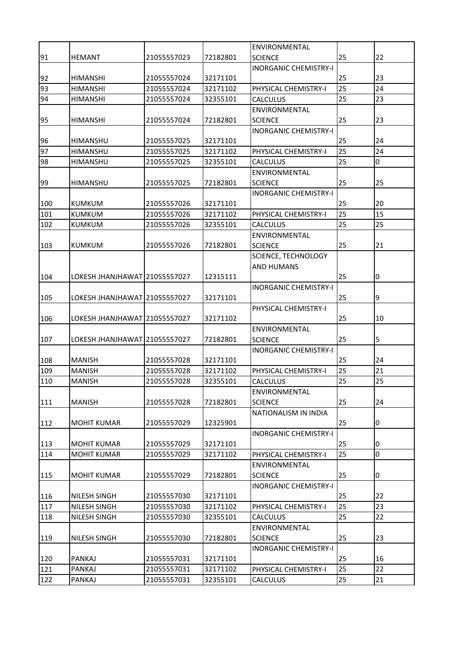|     |                               |             |          | ENVIRONMENTAL                                  |    |    |
|-----|-------------------------------|-------------|----------|------------------------------------------------|----|----|
| 91  | <b>HEMANT</b>                 | 21055557023 | 72182801 | <b>SCIENCE</b>                                 | 25 | 22 |
|     |                               |             |          | <b>INORGANIC CHEMISTRY-I</b>                   |    |    |
| 92  | <b>HIMANSHI</b>               | 21055557024 | 32171101 |                                                | 25 | 23 |
| 93  | <b>HIMANSHI</b>               | 21055557024 | 32171102 | PHYSICAL CHEMISTRY-I                           | 25 | 24 |
| 94  | <b>HIMANSHI</b>               | 21055557024 | 32355101 | <b>CALCULUS</b>                                | 25 | 23 |
|     |                               |             |          | ENVIRONMENTAL                                  |    |    |
| 95  | <b>HIMANSHI</b>               | 21055557024 | 72182801 | <b>SCIENCE</b>                                 | 25 | 23 |
|     |                               |             |          | <b>INORGANIC CHEMISTRY-I</b>                   |    |    |
| 96  | HIMANSHU                      | 21055557025 | 32171101 |                                                | 25 | 24 |
| 97  | HIMANSHU                      | 21055557025 | 32171102 | PHYSICAL CHEMISTRY-I                           | 25 | 24 |
| 98  | HIMANSHU                      | 21055557025 | 32355101 | <b>CALCULUS</b>                                | 25 | 0  |
|     |                               |             |          | ENVIRONMENTAL                                  |    |    |
| 99  | HIMANSHU                      | 21055557025 | 72182801 | <b>SCIENCE</b>                                 | 25 | 25 |
|     |                               |             |          | <b>INORGANIC CHEMISTRY-I</b>                   |    |    |
| 100 | <b>KUMKUM</b>                 | 21055557026 | 32171101 |                                                | 25 | 20 |
| 101 | <b>KUMKUM</b>                 | 21055557026 | 32171102 | PHYSICAL CHEMISTRY-I                           | 25 | 15 |
| 102 | <b>KUMKUM</b>                 | 21055557026 | 32355101 | <b>CALCULUS</b>                                | 25 | 25 |
|     |                               |             |          | ENVIRONMENTAL                                  |    |    |
| 103 | <b>KUMKUM</b>                 | 21055557026 | 72182801 | <b>SCIENCE</b>                                 | 25 | 21 |
|     |                               |             |          | <b>SCIENCE, TECHNOLOGY</b>                     |    |    |
|     |                               |             |          | AND HUMANS                                     |    |    |
| 104 | LOKESH JHANJHAWAT 21055557027 |             | 12315111 |                                                | 25 | 0  |
|     |                               |             |          | <b>INORGANIC CHEMISTRY-I</b>                   |    |    |
| 105 | LOKESH JHANJHAWAT 21055557027 |             | 32171101 |                                                | 25 | 9  |
|     |                               |             |          | PHYSICAL CHEMISTRY-I                           | 25 |    |
| 106 | LOKESH JHANJHAWAT 21055557027 |             | 32171102 |                                                |    | 10 |
| 107 | LOKESH JHANJHAWAT 21055557027 |             | 72182801 | ENVIRONMENTAL                                  | 25 | 5  |
|     |                               |             |          | <b>SCIENCE</b><br><b>INORGANIC CHEMISTRY-I</b> |    |    |
| 108 | <b>MANISH</b>                 | 21055557028 | 32171101 |                                                | 25 | 24 |
| 109 | <b>MANISH</b>                 | 21055557028 | 32171102 | PHYSICAL CHEMISTRY-I                           | 25 | 21 |
| 110 | <b>MANISH</b>                 | 21055557028 | 32355101 | <b>CALCULUS</b>                                | 25 | 25 |
|     |                               |             |          | ENVIRONMENTAL                                  |    |    |
| 111 | <b>MANISH</b>                 | 21055557028 | 72182801 | <b>SCIENCE</b>                                 | 25 | 24 |
|     |                               |             |          | NATIONALISM IN INDIA                           |    |    |
| 112 | <b>MOHIT KUMAR</b>            | 21055557029 | 12325901 |                                                | 25 | 0  |
|     |                               |             |          | <b>INORGANIC CHEMISTRY-I</b>                   |    |    |
| 113 | <b>MOHIT KUMAR</b>            | 21055557029 | 32171101 |                                                | 25 | 0  |
| 114 | <b>MOHIT KUMAR</b>            | 21055557029 | 32171102 | PHYSICAL CHEMISTRY-I                           | 25 | 0  |
|     |                               |             |          | ENVIRONMENTAL                                  |    |    |
| 115 | <b>MOHIT KUMAR</b>            | 21055557029 | 72182801 | <b>SCIENCE</b>                                 | 25 | 0  |
|     |                               |             |          | <b>INORGANIC CHEMISTRY-I</b>                   |    |    |
| 116 | NILESH SINGH                  | 21055557030 | 32171101 |                                                | 25 | 22 |
| 117 | NILESH SINGH                  | 21055557030 | 32171102 | PHYSICAL CHEMISTRY-I                           | 25 | 23 |
| 118 | NILESH SINGH                  | 21055557030 | 32355101 | <b>CALCULUS</b>                                | 25 | 22 |
|     |                               |             |          | ENVIRONMENTAL                                  |    |    |
| 119 | NILESH SINGH                  | 21055557030 | 72182801 | <b>SCIENCE</b>                                 | 25 | 23 |
|     |                               |             |          | <b>INORGANIC CHEMISTRY-I</b>                   |    |    |
| 120 | PANKAJ                        | 21055557031 | 32171101 |                                                | 25 | 16 |
| 121 | PANKAJ                        | 21055557031 | 32171102 | PHYSICAL CHEMISTRY-I                           | 25 | 22 |
| 122 | PANKAJ                        | 21055557031 | 32355101 | CALCULUS                                       | 25 | 21 |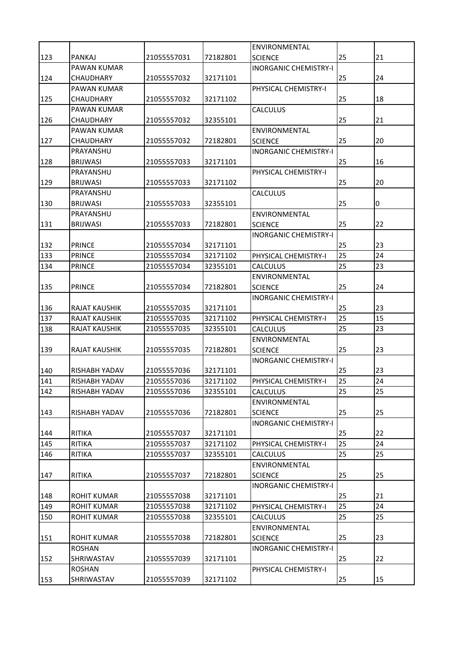|     |                      |             |          | <b>ENVIRONMENTAL</b>         |    |    |
|-----|----------------------|-------------|----------|------------------------------|----|----|
| 123 | PANKAJ               | 21055557031 | 72182801 | <b>SCIENCE</b>               | 25 | 21 |
|     | <b>PAWAN KUMAR</b>   |             |          | <b>INORGANIC CHEMISTRY-I</b> |    |    |
| 124 | CHAUDHARY            | 21055557032 | 32171101 |                              | 25 | 24 |
|     | PAWAN KUMAR          |             |          | PHYSICAL CHEMISTRY-I         |    |    |
| 125 | <b>CHAUDHARY</b>     | 21055557032 | 32171102 |                              | 25 | 18 |
|     | PAWAN KUMAR          |             |          | <b>CALCULUS</b>              |    |    |
| 126 | <b>CHAUDHARY</b>     | 21055557032 | 32355101 |                              | 25 | 21 |
|     | PAWAN KUMAR          |             |          | ENVIRONMENTAL                |    |    |
| 127 | CHAUDHARY            | 21055557032 | 72182801 | <b>SCIENCE</b>               | 25 | 20 |
|     | PRAYANSHU            |             |          | <b>INORGANIC CHEMISTRY-I</b> |    |    |
| 128 | <b>BRIJWASI</b>      | 21055557033 | 32171101 |                              | 25 | 16 |
|     | PRAYANSHU            |             |          | PHYSICAL CHEMISTRY-I         |    |    |
| 129 | <b>BRIJWASI</b>      | 21055557033 | 32171102 |                              | 25 | 20 |
|     | PRAYANSHU            |             |          | <b>CALCULUS</b>              |    |    |
| 130 | <b>BRIJWASI</b>      | 21055557033 | 32355101 |                              | 25 | 0  |
|     | PRAYANSHU            |             |          | ENVIRONMENTAL                |    |    |
| 131 | <b>BRIJWASI</b>      | 21055557033 | 72182801 | <b>SCIENCE</b>               | 25 | 22 |
|     |                      |             |          | <b>INORGANIC CHEMISTRY-I</b> |    |    |
| 132 | <b>PRINCE</b>        | 21055557034 | 32171101 |                              | 25 | 23 |
| 133 | <b>PRINCE</b>        | 21055557034 | 32171102 | PHYSICAL CHEMISTRY-I         | 25 | 24 |
| 134 | <b>PRINCE</b>        | 21055557034 | 32355101 | <b>CALCULUS</b>              | 25 | 23 |
|     |                      |             |          | ENVIRONMENTAL                |    |    |
| 135 | <b>PRINCE</b>        | 21055557034 | 72182801 | <b>SCIENCE</b>               | 25 | 24 |
|     |                      |             |          | <b>INORGANIC CHEMISTRY-I</b> |    |    |
| 136 | <b>RAJAT KAUSHIK</b> | 21055557035 | 32171101 |                              | 25 | 23 |
| 137 | <b>RAJAT KAUSHIK</b> | 21055557035 | 32171102 | PHYSICAL CHEMISTRY-I         | 25 | 15 |
| 138 | RAJAT KAUSHIK        | 21055557035 | 32355101 | <b>CALCULUS</b>              | 25 | 23 |
|     |                      |             |          | ENVIRONMENTAL                |    |    |
| 139 | <b>RAJAT KAUSHIK</b> | 21055557035 | 72182801 | <b>SCIENCE</b>               | 25 | 23 |
|     |                      |             |          | <b>INORGANIC CHEMISTRY-I</b> |    |    |
| 140 | RISHABH YADAV        | 21055557036 | 32171101 |                              | 25 | 23 |
| 141 | RISHABH YADAV        | 21055557036 | 32171102 | PHYSICAL CHEMISTRY-I         | 25 | 24 |
| 142 | RISHABH YADAV        | 21055557036 | 32355101 | <b>CALCULUS</b>              | 25 | 25 |
|     |                      |             |          | ENVIRONMENTAL                |    |    |
| 143 | RISHABH YADAV        | 21055557036 | 72182801 | <b>SCIENCE</b>               | 25 | 25 |
|     |                      |             |          | <b>INORGANIC CHEMISTRY-I</b> |    |    |
| 144 | RITIKA               | 21055557037 | 32171101 |                              | 25 | 22 |
| 145 | <b>RITIKA</b>        | 21055557037 | 32171102 | PHYSICAL CHEMISTRY-I         | 25 | 24 |
| 146 | <b>RITIKA</b>        | 21055557037 | 32355101 | <b>CALCULUS</b>              | 25 | 25 |
|     |                      |             |          | ENVIRONMENTAL                |    |    |
| 147 | <b>RITIKA</b>        | 21055557037 | 72182801 | <b>SCIENCE</b>               | 25 | 25 |
|     |                      |             |          | <b>INORGANIC CHEMISTRY-I</b> |    |    |
| 148 | <b>ROHIT KUMAR</b>   | 21055557038 | 32171101 |                              | 25 | 21 |
| 149 | <b>ROHIT KUMAR</b>   | 21055557038 | 32171102 | PHYSICAL CHEMISTRY-I         | 25 | 24 |
| 150 | <b>ROHIT KUMAR</b>   | 21055557038 | 32355101 | <b>CALCULUS</b>              | 25 | 25 |
|     |                      |             |          | ENVIRONMENTAL                |    |    |
| 151 | <b>ROHIT KUMAR</b>   | 21055557038 | 72182801 | <b>SCIENCE</b>               | 25 | 23 |
|     | <b>ROSHAN</b>        |             |          | <b>INORGANIC CHEMISTRY-I</b> |    |    |
| 152 | SHRIWASTAV           | 21055557039 | 32171101 |                              | 25 | 22 |
|     | <b>ROSHAN</b>        |             |          | PHYSICAL CHEMISTRY-I         |    |    |
| 153 | SHRIWASTAV           | 21055557039 | 32171102 |                              | 25 | 15 |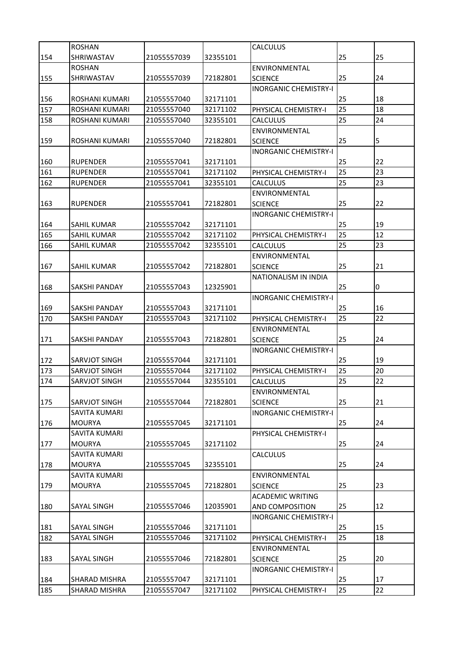|     | <b>ROSHAN</b>        |             |          | <b>CALCULUS</b>              |    |    |
|-----|----------------------|-------------|----------|------------------------------|----|----|
| 154 | SHRIWASTAV           | 21055557039 | 32355101 |                              | 25 | 25 |
|     | <b>ROSHAN</b>        |             |          | ENVIRONMENTAL                |    |    |
| 155 | SHRIWASTAV           | 21055557039 | 72182801 | <b>SCIENCE</b>               | 25 | 24 |
|     |                      |             |          | <b>INORGANIC CHEMISTRY-I</b> |    |    |
| 156 | ROSHANI KUMARI       | 21055557040 | 32171101 |                              | 25 | 18 |
| 157 | ROSHANI KUMARI       | 21055557040 | 32171102 | PHYSICAL CHEMISTRY-I         | 25 | 18 |
| 158 | ROSHANI KUMARI       | 21055557040 | 32355101 | <b>CALCULUS</b>              | 25 | 24 |
|     |                      |             |          | ENVIRONMENTAL                |    |    |
| 159 | ROSHANI KUMARI       | 21055557040 | 72182801 | <b>SCIENCE</b>               | 25 | 5  |
|     |                      |             |          | <b>INORGANIC CHEMISTRY-I</b> |    |    |
|     | <b>RUPENDER</b>      | 21055557041 | 32171101 |                              | 25 | 22 |
| 160 |                      |             |          |                              |    | 23 |
| 161 | <b>RUPENDER</b>      | 21055557041 | 32171102 | PHYSICAL CHEMISTRY-I         | 25 |    |
| 162 | <b>RUPENDER</b>      | 21055557041 | 32355101 | <b>CALCULUS</b>              | 25 | 23 |
|     |                      |             |          | ENVIRONMENTAL                |    |    |
| 163 | <b>RUPENDER</b>      | 21055557041 | 72182801 | <b>SCIENCE</b>               | 25 | 22 |
|     |                      |             |          | <b>INORGANIC CHEMISTRY-I</b> |    |    |
| 164 | SAHIL KUMAR          | 21055557042 | 32171101 |                              | 25 | 19 |
| 165 | SAHIL KUMAR          | 21055557042 | 32171102 | PHYSICAL CHEMISTRY-I         | 25 | 12 |
| 166 | <b>SAHIL KUMAR</b>   | 21055557042 | 32355101 | <b>CALCULUS</b>              | 25 | 23 |
|     |                      |             |          | ENVIRONMENTAL                |    |    |
| 167 | SAHIL KUMAR          | 21055557042 | 72182801 | <b>SCIENCE</b>               | 25 | 21 |
|     |                      |             |          | NATIONALISM IN INDIA         |    |    |
| 168 | SAKSHI PANDAY        | 21055557043 | 12325901 |                              | 25 | 0  |
|     |                      |             |          | <b>INORGANIC CHEMISTRY-I</b> |    |    |
| 169 | SAKSHI PANDAY        | 21055557043 | 32171101 |                              | 25 | 16 |
| 170 | SAKSHI PANDAY        | 21055557043 | 32171102 | PHYSICAL CHEMISTRY-I         | 25 | 22 |
|     |                      |             |          | ENVIRONMENTAL                |    |    |
| 171 | SAKSHI PANDAY        | 21055557043 | 72182801 | <b>SCIENCE</b>               | 25 | 24 |
|     |                      |             |          | <b>INORGANIC CHEMISTRY-I</b> |    |    |
| 172 | SARVJOT SINGH        | 21055557044 | 32171101 |                              | 25 | 19 |
| 173 | SARVJOT SINGH        | 21055557044 | 32171102 | PHYSICAL CHEMISTRY-I         | 25 | 20 |
| 174 | SARVJOT SINGH        | 21055557044 | 32355101 | <b>CALCULUS</b>              | 25 | 22 |
|     |                      |             |          | ENVIRONMENTAL                |    |    |
| 175 | SARVJOT SINGH        | 21055557044 | 72182801 | <b>SCIENCE</b>               | 25 | 21 |
|     | SAVITA KUMARI        |             |          | <b>INORGANIC CHEMISTRY-I</b> |    |    |
| 176 | <b>MOURYA</b>        | 21055557045 | 32171101 |                              | 25 | 24 |
|     | SAVITA KUMARI        |             |          | PHYSICAL CHEMISTRY-I         |    |    |
| 177 | <b>MOURYA</b>        | 21055557045 | 32171102 |                              | 25 | 24 |
|     | SAVITA KUMARI        |             |          |                              |    |    |
|     | <b>MOURYA</b>        | 21055557045 | 32355101 | CALCULUS                     | 25 | 24 |
| 178 |                      |             |          |                              |    |    |
|     | SAVITA KUMARI        |             |          | ENVIRONMENTAL                |    |    |
| 179 | <b>MOURYA</b>        | 21055557045 | 72182801 | <b>SCIENCE</b>               | 25 | 23 |
|     |                      |             |          | <b>ACADEMIC WRITING</b>      |    |    |
| 180 | <b>SAYAL SINGH</b>   | 21055557046 | 12035901 | AND COMPOSITION              | 25 | 12 |
|     |                      |             |          | <b>INORGANIC CHEMISTRY-I</b> |    |    |
| 181 | <b>SAYAL SINGH</b>   | 21055557046 | 32171101 |                              | 25 | 15 |
| 182 | SAYAL SINGH          | 21055557046 | 32171102 | PHYSICAL CHEMISTRY-I         | 25 | 18 |
|     |                      |             |          | ENVIRONMENTAL                |    |    |
| 183 | SAYAL SINGH          | 21055557046 | 72182801 | <b>SCIENCE</b>               | 25 | 20 |
|     |                      |             |          | <b>INORGANIC CHEMISTRY-I</b> |    |    |
| 184 | <b>SHARAD MISHRA</b> | 21055557047 | 32171101 |                              | 25 | 17 |
| 185 | SHARAD MISHRA        | 21055557047 | 32171102 | PHYSICAL CHEMISTRY-I         | 25 | 22 |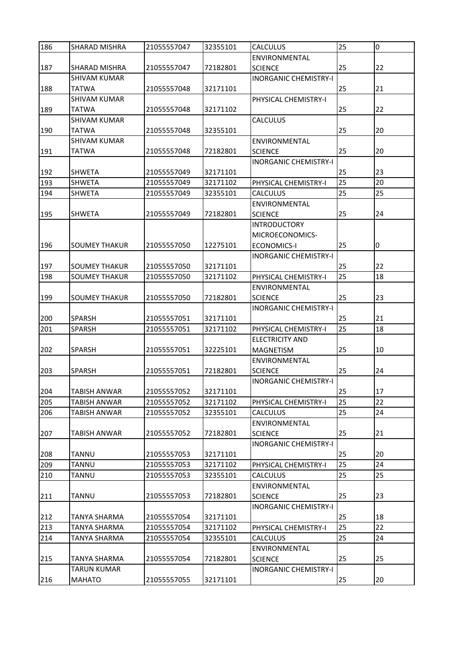| 186 | SHARAD MISHRA        | 21055557047 | 32355101 | <b>CALCULUS</b>              | 25 | $\overline{0}$ |
|-----|----------------------|-------------|----------|------------------------------|----|----------------|
|     |                      |             |          | ENVIRONMENTAL                |    |                |
| 187 | SHARAD MISHRA        | 21055557047 | 72182801 | <b>SCIENCE</b>               | 25 | 22             |
|     | <b>SHIVAM KUMAR</b>  |             |          | <b>INORGANIC CHEMISTRY-I</b> |    |                |
| 188 | <b>TATWA</b>         | 21055557048 | 32171101 |                              | 25 | 21             |
|     | <b>SHIVAM KUMAR</b>  |             |          | PHYSICAL CHEMISTRY-I         |    |                |
| 189 | <b>TATWA</b>         | 21055557048 | 32171102 |                              | 25 | 22             |
|     | <b>SHIVAM KUMAR</b>  |             |          | <b>CALCULUS</b>              |    |                |
| 190 | <b>TATWA</b>         | 21055557048 | 32355101 |                              | 25 | 20             |
|     | <b>SHIVAM KUMAR</b>  |             |          | ENVIRONMENTAL                |    |                |
| 191 | <b>TATWA</b>         | 21055557048 | 72182801 | <b>SCIENCE</b>               | 25 | 20             |
|     |                      |             |          | <b>INORGANIC CHEMISTRY-I</b> |    |                |
| 192 | <b>SHWETA</b>        | 21055557049 | 32171101 |                              | 25 | 23             |
| 193 | SHWETA               | 21055557049 | 32171102 | PHYSICAL CHEMISTRY-I         | 25 | 20             |
| 194 | SHWETA               | 21055557049 | 32355101 | <b>CALCULUS</b>              | 25 | 25             |
|     |                      |             |          | ENVIRONMENTAL                |    |                |
| 195 | <b>SHWETA</b>        | 21055557049 | 72182801 | <b>SCIENCE</b>               | 25 | 24             |
|     |                      |             |          | <b>INTRODUCTORY</b>          |    |                |
|     |                      |             |          |                              |    |                |
|     |                      |             |          | MICROECONOMICS-              |    |                |
| 196 | <b>SOUMEY THAKUR</b> | 21055557050 | 12275101 | <b>ECONOMICS-I</b>           | 25 | 0              |
|     |                      |             |          | <b>INORGANIC CHEMISTRY-I</b> |    |                |
| 197 | <b>SOUMEY THAKUR</b> | 21055557050 | 32171101 |                              | 25 | 22             |
| 198 | <b>SOUMEY THAKUR</b> | 21055557050 | 32171102 | PHYSICAL CHEMISTRY-I         | 25 | 18             |
|     |                      |             |          | ENVIRONMENTAL                |    |                |
| 199 | <b>SOUMEY THAKUR</b> | 21055557050 | 72182801 | <b>SCIENCE</b>               | 25 | 23             |
|     |                      |             |          | <b>INORGANIC CHEMISTRY-I</b> |    |                |
| 200 | <b>SPARSH</b>        | 21055557051 | 32171101 |                              | 25 | 21             |
| 201 | <b>SPARSH</b>        | 21055557051 | 32171102 | PHYSICAL CHEMISTRY-I         | 25 | 18             |
|     |                      |             |          | <b>ELECTRICITY AND</b>       |    |                |
| 202 | <b>SPARSH</b>        | 21055557051 | 32225101 | <b>MAGNETISM</b>             | 25 | 10             |
|     |                      |             |          | ENVIRONMENTAL                |    |                |
| 203 | <b>SPARSH</b>        | 21055557051 | 72182801 | <b>SCIENCE</b>               | 25 | 24             |
|     |                      |             |          | <b>INORGANIC CHEMISTRY-I</b> |    |                |
| 204 | TABISH ANWAR         | 21055557052 | 32171101 |                              | 25 | 17             |
| 205 | TABISH ANWAR         | 21055557052 | 32171102 | PHYSICAL CHEMISTRY-I         | 25 | 22             |
| 206 | TABISH ANWAR         | 21055557052 | 32355101 | <b>CALCULUS</b>              | 25 | 24             |
|     |                      |             |          | ENVIRONMENTAL                |    |                |
| 207 | <b>TABISH ANWAR</b>  | 21055557052 | 72182801 | <b>SCIENCE</b>               | 25 | 21             |
|     |                      |             |          | <b>INORGANIC CHEMISTRY-I</b> |    |                |
| 208 | <b>TANNU</b>         | 21055557053 | 32171101 |                              | 25 | 20             |
| 209 | <b>TANNU</b>         | 21055557053 | 32171102 | PHYSICAL CHEMISTRY-I         | 25 | 24             |
| 210 | <b>TANNU</b>         | 21055557053 | 32355101 | <b>CALCULUS</b>              | 25 | 25             |
|     |                      |             |          | ENVIRONMENTAL                |    |                |
| 211 | TANNU                | 21055557053 | 72182801 | <b>SCIENCE</b>               | 25 | 23             |
|     |                      |             |          | <b>INORGANIC CHEMISTRY-I</b> |    |                |
| 212 | TANYA SHARMA         | 21055557054 | 32171101 |                              | 25 | 18             |
| 213 | TANYA SHARMA         | 21055557054 | 32171102 | PHYSICAL CHEMISTRY-I         | 25 | 22             |
| 214 | TANYA SHARMA         | 21055557054 | 32355101 | <b>CALCULUS</b>              | 25 | 24             |
|     |                      |             |          | ENVIRONMENTAL                |    |                |
| 215 | TANYA SHARMA         | 21055557054 | 72182801 | <b>SCIENCE</b>               | 25 | 25             |
|     | TARUN KUMAR          |             |          | <b>INORGANIC CHEMISTRY-I</b> |    |                |
| 216 | <b>MAHATO</b>        | 21055557055 | 32171101 |                              | 25 | 20             |
|     |                      |             |          |                              |    |                |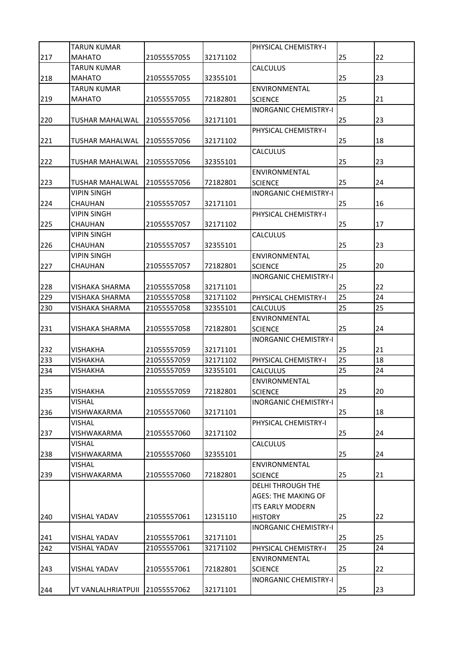|     | <b>TARUN KUMAR</b>     |             |          | PHYSICAL CHEMISTRY-I         |    |    |
|-----|------------------------|-------------|----------|------------------------------|----|----|
| 217 | <b>MAHATO</b>          | 21055557055 | 32171102 |                              | 25 | 22 |
|     | <b>TARUN KUMAR</b>     |             |          | <b>CALCULUS</b>              |    |    |
| 218 | <b>MAHATO</b>          | 21055557055 | 32355101 |                              | 25 | 23 |
|     | <b>TARUN KUMAR</b>     |             |          | ENVIRONMENTAL                |    |    |
| 219 | <b>MAHATO</b>          | 21055557055 | 72182801 | <b>SCIENCE</b>               | 25 | 21 |
|     |                        |             |          | <b>INORGANIC CHEMISTRY-I</b> |    |    |
| 220 | TUSHAR MAHALWAL        | 21055557056 | 32171101 |                              | 25 | 23 |
|     |                        |             |          |                              |    |    |
|     |                        |             |          | PHYSICAL CHEMISTRY-I         |    |    |
| 221 | TUSHAR MAHALWAL        | 21055557056 | 32171102 |                              | 25 | 18 |
|     |                        |             |          | <b>CALCULUS</b>              |    |    |
| 222 | TUSHAR MAHALWAL        | 21055557056 | 32355101 |                              | 25 | 23 |
|     |                        |             |          | ENVIRONMENTAL                |    |    |
| 223 | <b>TUSHAR MAHALWAL</b> | 21055557056 | 72182801 | <b>SCIENCE</b>               | 25 | 24 |
|     | VIPIN SINGH            |             |          | <b>INORGANIC CHEMISTRY-I</b> |    |    |
| 224 | <b>CHAUHAN</b>         | 21055557057 | 32171101 |                              | 25 | 16 |
|     | <b>VIPIN SINGH</b>     |             |          | PHYSICAL CHEMISTRY-I         |    |    |
| 225 | <b>CHAUHAN</b>         | 21055557057 | 32171102 |                              | 25 | 17 |
|     | <b>VIPIN SINGH</b>     |             |          | <b>CALCULUS</b>              |    |    |
| 226 | <b>CHAUHAN</b>         | 21055557057 | 32355101 |                              | 25 | 23 |
|     | <b>VIPIN SINGH</b>     |             |          | ENVIRONMENTAL                |    |    |
| 227 | CHAUHAN                | 21055557057 | 72182801 | <b>SCIENCE</b>               | 25 | 20 |
|     |                        |             |          | <b>INORGANIC CHEMISTRY-I</b> |    |    |
| 228 | <b>VISHAKA SHARMA</b>  | 21055557058 | 32171101 |                              | 25 | 22 |
| 229 | VISHAKA SHARMA         | 21055557058 | 32171102 | PHYSICAL CHEMISTRY-I         | 25 | 24 |
| 230 | VISHAKA SHARMA         | 21055557058 | 32355101 | <b>CALCULUS</b>              | 25 | 25 |
|     |                        |             |          |                              |    |    |
|     |                        |             |          | ENVIRONMENTAL                |    |    |
| 231 | VISHAKA SHARMA         | 21055557058 | 72182801 | <b>SCIENCE</b>               | 25 | 24 |
|     |                        |             |          | <b>INORGANIC CHEMISTRY-I</b> |    |    |
| 232 | <b>VISHAKHA</b>        | 21055557059 | 32171101 |                              | 25 | 21 |
| 233 | VISHAKHA               | 21055557059 | 32171102 | PHYSICAL CHEMISTRY-I         | 25 | 18 |
| 234 | VISHAKHA               | 21055557059 | 32355101 | <b>CALCULUS</b>              | 25 | 24 |
|     |                        |             |          | ENVIRONMENTAL                |    |    |
| 235 | VISHAKHA               | 21055557059 | 72182801 | <b>SCIENCE</b>               | 25 | 20 |
|     | <b>VISHAL</b>          |             |          | <b>INORGANIC CHEMISTRY-I</b> |    |    |
| 236 | VISHWAKARMA            | 21055557060 | 32171101 |                              | 25 | 18 |
|     | VISHAL                 |             |          | PHYSICAL CHEMISTRY-I         |    |    |
| 237 | VISHWAKARMA            | 21055557060 | 32171102 |                              | 25 | 24 |
|     | VISHAL                 |             |          | <b>CALCULUS</b>              |    |    |
| 238 | VISHWAKARMA            | 21055557060 | 32355101 |                              | 25 | 24 |
|     | VISHAL                 |             |          | ENVIRONMENTAL                |    |    |
| 239 | VISHWAKARMA            | 21055557060 | 72182801 | <b>SCIENCE</b>               | 25 | 21 |
|     |                        |             |          | <b>DELHI THROUGH THE</b>     |    |    |
|     |                        |             |          |                              |    |    |
|     |                        |             |          | <b>AGES: THE MAKING OF</b>   |    |    |
|     |                        |             |          | <b>ITS EARLY MODERN</b>      |    |    |
| 240 | <b>VISHAL YADAV</b>    | 21055557061 | 12315110 | <b>HISTORY</b>               | 25 | 22 |
|     |                        |             |          | <b>INORGANIC CHEMISTRY-I</b> |    |    |
| 241 | <b>VISHAL YADAV</b>    | 21055557061 | 32171101 |                              | 25 | 25 |
| 242 | VISHAL YADAV           | 21055557061 | 32171102 | PHYSICAL CHEMISTRY-I         | 25 | 24 |
|     |                        |             |          | ENVIRONMENTAL                |    |    |
| 243 | <b>VISHAL YADAV</b>    | 21055557061 | 72182801 | <b>SCIENCE</b>               | 25 | 22 |
|     |                        |             |          | <b>INORGANIC CHEMISTRY-I</b> |    |    |
| 244 | VT VANLALHRIATPUII     | 21055557062 | 32171101 |                              | 25 | 23 |
|     |                        |             |          |                              |    |    |